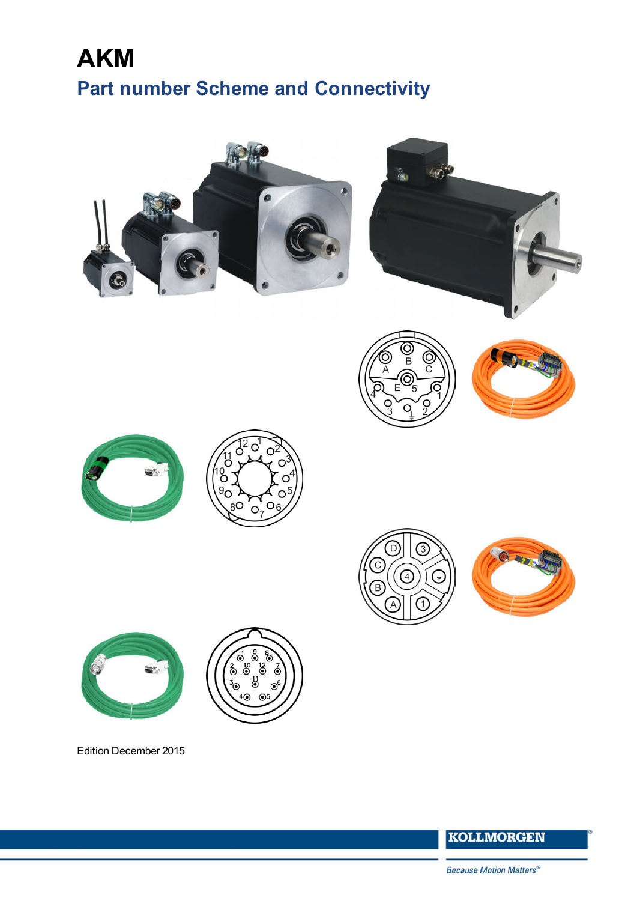# **AKM Part number Scheme and Connectivity**



**KOLLMORGEN**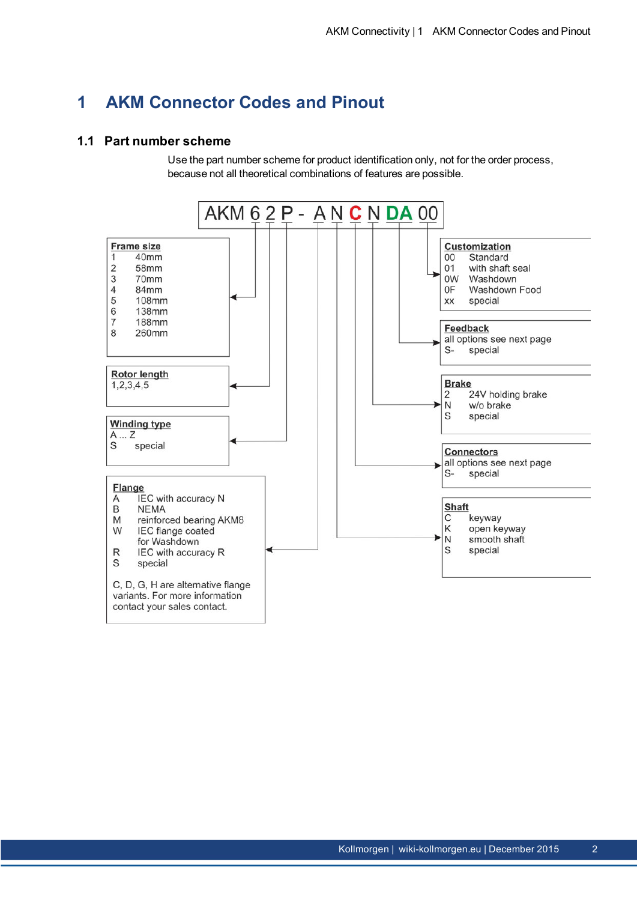# **1 AKM Connector Codes and Pinout**

#### **1.1 Part number scheme**

Use the part number scheme for product identification only, not for the order process, because not all theoretical combinations of features are possible.

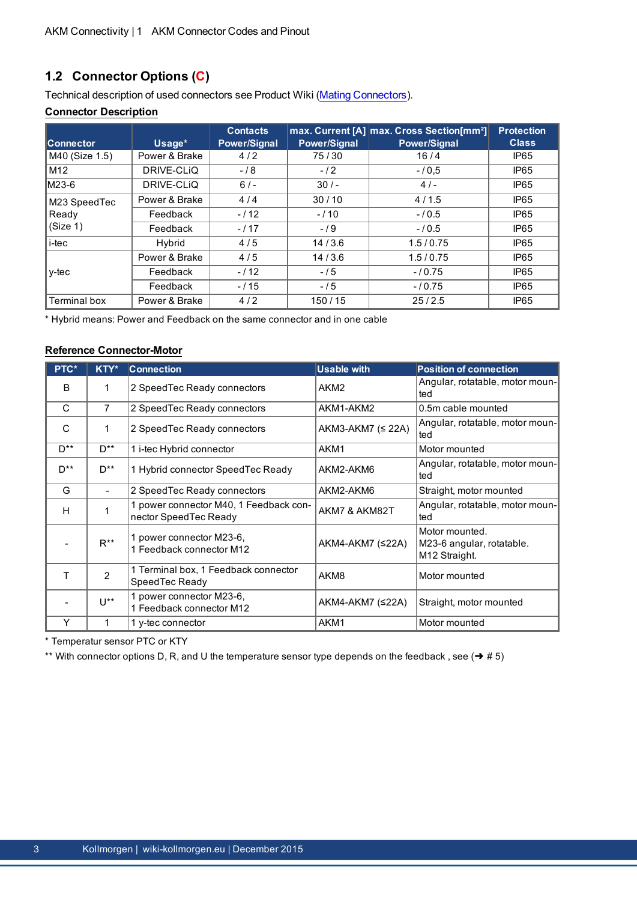#### **1.2 Connector Options (C)**

Technical description of used connectors see Product Wiki (Mating [Connectors](http://wiki-kollmorgen.eu/wiki/tiki-index.php?page=Mating+Connectors)).

#### **Connector Description**

| <b>Connector</b>    | Usage*        | <b>Contacts</b><br><b>Power/Signal</b> | <b>Power/Signal</b> | max. Current [A] max. Cross Section[mm <sup>2</sup> ]<br><b>Power/Signal</b> | <b>Protection</b><br><b>Class</b> |
|---------------------|---------------|----------------------------------------|---------------------|------------------------------------------------------------------------------|-----------------------------------|
| M40 (Size 1.5)      | Power & Brake | 4/2                                    | 75/30               | 16/4                                                                         | IP <sub>65</sub>                  |
| M12                 | DRIVE-CLIQ    | $-18$                                  | $-12$               | $-10.5$                                                                      | IP <sub>65</sub>                  |
| IM23-6              | DRIVE-CLIQ    | $6/$ -                                 | 30/                 | 4/                                                                           | IP65                              |
| M23 SpeedTec        | Power & Brake | 4/4                                    | 30/10               | 4/1.5                                                                        | IP65                              |
| Ready               | Feedback      | $-112$                                 | $-110$              | $-10.5$                                                                      | IP <sub>65</sub>                  |
| (Size 1)            | Feedback      | $-117$                                 | $-19$               | $-10.5$                                                                      | IP <sub>65</sub>                  |
| i-tec               | Hybrid        | 4/5                                    | 14/3.6              | 1.5/0.75                                                                     | IP <sub>65</sub>                  |
|                     | Power & Brake | 4/5                                    | 14/3.6              | 1.5/0.75                                                                     | IP <sub>65</sub>                  |
| v-tec               | Feedback      | $-112$                                 | $-15$               | $-10.75$                                                                     | IP <sub>65</sub>                  |
|                     | Feedback      | $-115$                                 | $-15$               | $-10.75$                                                                     | IP <sub>65</sub>                  |
| <b>Terminal box</b> | Power & Brake | 4/2                                    | 150/15              | 25/2.5                                                                       | IP <sub>65</sub>                  |

\* Hybrid means: Power and Feedback on the same connector and in one cable

#### **Reference Connector-Motor**

| PTC*            | KTY*            | <b>Connection</b>                                               | <b>Usable with</b>  | <b>Position of connection</b>                                            |
|-----------------|-----------------|-----------------------------------------------------------------|---------------------|--------------------------------------------------------------------------|
| B               | 1               | 2 Speed Tec Ready connectors                                    | AKM2                | Angular, rotatable, motor moun-<br>ted                                   |
| C               | 7               | 2 Speed Tec Ready connectors                                    | AKM1-AKM2           | 0.5m cable mounted                                                       |
| C               | 1               | 2 Speed Tec Ready connectors                                    | AKM3-AKM7 $(≤ 22A)$ | Angular, rotatable, motor moun-<br>ted                                   |
| D <sup>**</sup> | D <sup>**</sup> | 1 i-tec Hybrid connector                                        | AKM1                | Motor mounted                                                            |
| D <sup>**</sup> | D <sup>**</sup> | 1 Hybrid connector SpeedTec Ready                               | AKM2-AKM6           | Angular, rotatable, motor moun-<br>ted                                   |
| G               |                 | 2 Speed Tec Ready connectors                                    | AKM2-AKM6           | Straight, motor mounted                                                  |
| H               |                 | 1 power connector M40, 1 Feedback con-<br>nector SpeedTec Ready | AKM7 & AKM82T       | Angular, rotatable, motor moun-<br>ted                                   |
|                 | $R^{**}$        | 1 power connector M23-6,<br>1 Feedback connector M12            | AKM4-AKM7 (≤22A)    | Motor mounted.<br>M23-6 angular, rotatable.<br>M <sub>12</sub> Straight. |
|                 | 2               | 1 Terminal box, 1 Feedback connector<br>SpeedTec Ready          | AKM8                | Motor mounted                                                            |
|                 | $11***$         | 1 power connector M23-6,<br>1 Feedback connector M12            | AKM4-AKM7 (≤22A)    | Straight, motor mounted                                                  |
| Y               |                 | 1 y-tec connector                                               | AKM1                | Motor mounted                                                            |

\* Temperatur sensor PTC or KTY

\*\* With connector options D, R, and U the temperature sensor type depends on the feedback, see  $(→ #5)$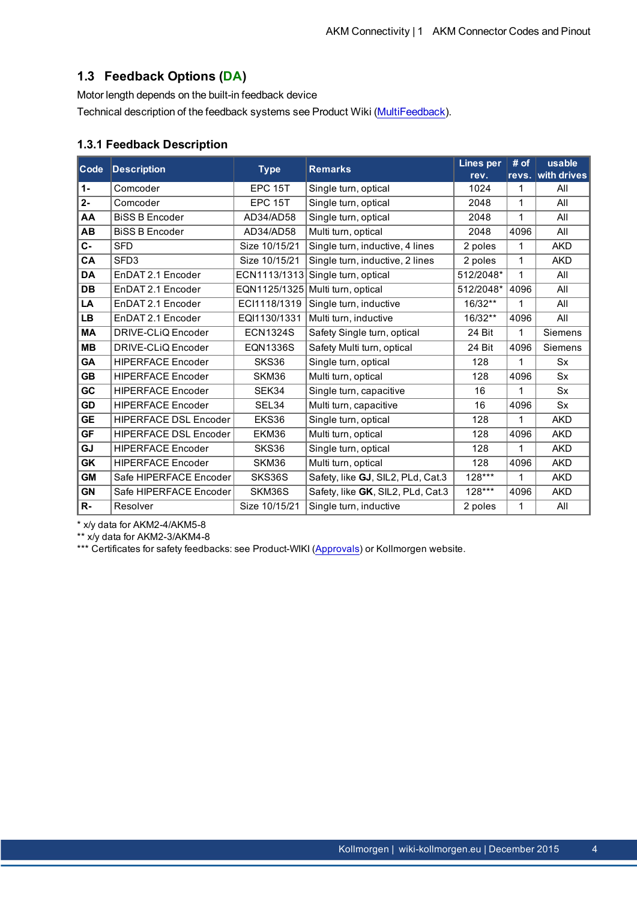#### **1.3 Feedback Options (DA)**

Motor length depends on the built-in feedback device

Technical description of the feedback systems see Product Wiki [\(MultiFeedback](http://wiki-kollmorgen.eu/wiki/tiki-index.php?page=MultiFeedback)).

#### **1.3.1 Feedback Description**

| Code      | <b>Description</b>           | <b>Type</b>       | <b>Remarks</b>                    | <b>Lines per</b> | # of | usable            |
|-----------|------------------------------|-------------------|-----------------------------------|------------------|------|-------------------|
|           |                              |                   |                                   | rev.             |      | revs. with drives |
| $1 -$     | Comcoder                     | EPC 15T           | Single turn, optical              | 1024             | 1    | All               |
| $2 -$     | Comcoder                     | EPC 15T           | Single turn, optical              | 2048             | 1    | All               |
| AA        | <b>BISS B Encoder</b>        | AD34/AD58         | Single turn, optical              | 2048             | 1    | All               |
| <b>AB</b> | <b>BISS B Encoder</b>        | AD34/AD58         | Multi turn, optical               | 2048             | 4096 | All               |
| $C -$     | <b>SFD</b>                   | Size 10/15/21     | Single turn, inductive, 4 lines   | 2 poles          | 1    | <b>AKD</b>        |
| CA        | SFD <sub>3</sub>             | Size 10/15/21     | Single turn, inductive, 2 lines   | 2 poles          | 1    | <b>AKD</b>        |
| <b>DA</b> | EnDAT 2.1 Encoder            | ECN1113/1313      | Single turn, optical              | 512/2048*        | 1    | All               |
| <b>DB</b> | EnDAT 2.1 Encoder            | EQN1125/1325      | Multi turn, optical               | 512/2048*        | 4096 | All               |
| LA        | EnDAT 2.1 Encoder            | ECI1118/1319      | Single turn, inductive            | $16/32**$        | 1    | All               |
| <b>LB</b> | EnDAT 2.1 Encoder            | EQI1130/1331      | Multi turn, inductive             | $16/32**$        | 4096 | All               |
| <b>MA</b> | DRIVE-CLiQ Encoder           | <b>ECN1324S</b>   | Safety Single turn, optical       | 24 Bit           | 1    | Siemens           |
| <b>MB</b> | DRIVE-CLIQ Encoder           | <b>EQN1336S</b>   | Safety Multi turn, optical        | 24 Bit           | 4096 | <b>Siemens</b>    |
| GA        | <b>HIPERFACE Encoder</b>     | SKS36             | Single turn, optical              | 128              | 1    | <b>Sx</b>         |
| <b>GB</b> | <b>HIPERFACE Encoder</b>     | SKM36             | Multi turn, optical               | 128              | 4096 | <b>Sx</b>         |
| GC        | <b>HIPERFACE Encoder</b>     | SEK34             | Single turn, capacitive           | 16               | 1    | <b>Sx</b>         |
| <b>GD</b> | <b>HIPERFACE Encoder</b>     | SEL <sub>34</sub> | Multi turn, capacitive            | 16               | 4096 | <b>Sx</b>         |
| <b>GE</b> | <b>HIPERFACE DSL Encoder</b> | EKS36             | Single turn, optical              | 128              | 1    | <b>AKD</b>        |
| <b>GF</b> | <b>HIPERFACE DSL Encoder</b> | EKM36             | Multi turn, optical               | 128              | 4096 | <b>AKD</b>        |
| GJ        | <b>HIPERFACE Encoder</b>     | SKS36             | Single turn, optical              | 128              | 1    | <b>AKD</b>        |
| GK        | <b>HIPERFACE Encoder</b>     | SKM36             | Multi turn, optical               | 128              | 4096 | <b>AKD</b>        |
| <b>GM</b> | Safe HIPERFACE Encoder       | SKS36S            | Safety, like GJ, SIL2, PLd, Cat.3 | 128***           | 1    | <b>AKD</b>        |
| <b>GN</b> | Safe HIPERFACE Encoder       | SKM36S            | Safety, like GK, SIL2, PLd, Cat.3 | $128***$         | 4096 | <b>AKD</b>        |
| $R -$     | Resolver                     | Size 10/15/21     | Single turn, inductive            | 2 poles          | 1    | All               |

\* x/y data for AKM2-4/AKM5-8

\*\* x/y data for AKM2-3/AKM4-8

\*\*\*Certificates for safety feedbacks: see Product-WIKI ([Approvals](http://wiki-kollmorgen.eu/wiki/tiki-index.php?page=Approvals)) or Kollmorgen website.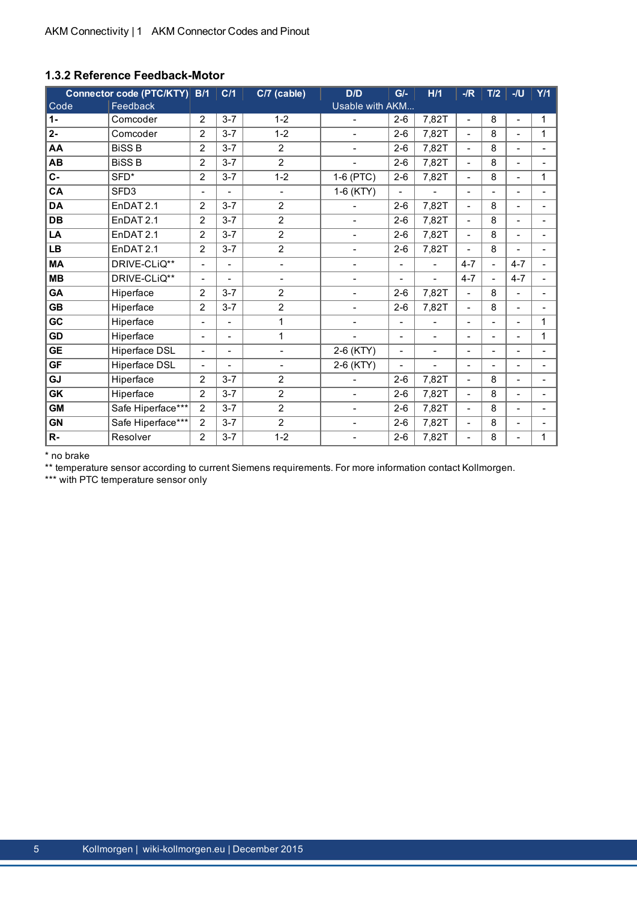#### <span id="page-4-0"></span>**1.3.2 Reference Feedback-Motor**

|                | Connector code (PTC/KTY) B/1 |                          | C/1     | C/7 (cable)                  | D/D                      | $G/-$                    | H/1            | $-R$                     | T/2            | $-JU$                    | Y/1 |
|----------------|------------------------------|--------------------------|---------|------------------------------|--------------------------|--------------------------|----------------|--------------------------|----------------|--------------------------|-----|
| Code           | Feedback                     |                          |         |                              | Usable with AKM          |                          |                |                          |                |                          |     |
| $1 -$          | Comcoder                     | $\overline{2}$           | $3 - 7$ | $1 - 2$                      |                          | $2 - 6$                  | 7,82T          | $\overline{\phantom{a}}$ | 8              | $\blacksquare$           | 1   |
| $\overline{2}$ | Comcoder                     | $\overline{2}$           | $3 - 7$ | $1 - 2$                      | $\overline{\phantom{a}}$ | $2 - 6$                  | 7,82T          | $\overline{\phantom{a}}$ | 8              | $\blacksquare$           | 1   |
| AA             | <b>BISS B</b>                | $\overline{2}$           | $3 - 7$ | $\overline{2}$               | $\blacksquare$           | $2 - 6$                  | 7,82T          | $\overline{\phantom{a}}$ | 8              | $\overline{\phantom{a}}$ |     |
| AB             | <b>BISS B</b>                | $\overline{2}$           | $3 - 7$ | $\overline{c}$               | $\overline{a}$           | $2 - 6$                  | 7,82T          | $\blacksquare$           | 8              | $\blacksquare$           |     |
| $C -$          | SFD*                         | $\overline{2}$           | $3 - 7$ | $1 - 2$                      | 1-6 (PTC)                | $2 - 6$                  | 7,82T          | $\overline{\phantom{0}}$ | 8              | $\blacksquare$           | 1   |
| CA             | SFD <sub>3</sub>             | -                        |         | $\overline{\phantom{a}}$     | 1-6 (KTY)                | $\overline{\phantom{0}}$ | $\blacksquare$ | $\blacksquare$           | $\overline{a}$ | $\blacksquare$           |     |
| <b>DA</b>      | EnDAT 2.1                    | $\overline{2}$           | $3 - 7$ | $\overline{2}$               |                          | $2 - 6$                  | 7,82T          | $\overline{\phantom{a}}$ | 8              | $\overline{\phantom{a}}$ |     |
| DB             | EnDAT 2.1                    | $\overline{2}$           | $3 - 7$ | $\overline{2}$               | $\overline{a}$           | $2 - 6$                  | 7,82T          | $\overline{\phantom{a}}$ | 8              | $\blacksquare$           |     |
| LA             | EnDAT 2.1                    | $\overline{2}$           | $3 - 7$ | $\overline{c}$               |                          | $2 - 6$                  | 7,82T          | $\blacksquare$           | 8              | $\overline{\phantom{0}}$ |     |
| <b>LB</b>      | EnDAT 2.1                    | $\overline{2}$           | $3 - 7$ | $\overline{c}$               |                          | $2 - 6$                  | 7,82T          | $\blacksquare$           | 8              |                          |     |
| <b>MA</b>      | DRIVE-CLiQ**                 |                          |         | $\qquad \qquad \blacksquare$ |                          | $\overline{\phantom{a}}$ |                | $4 - 7$                  | $\overline{a}$ | $4 - 7$                  |     |
| <b>MB</b>      | DRIVE-CLiQ**                 |                          |         | $\overline{\phantom{a}}$     |                          | -                        |                | $4 - 7$                  |                | $4 - 7$                  |     |
| GA             | Hiperface                    | $\overline{2}$           | $3 - 7$ | $\overline{c}$               |                          | $2-6$                    | 7,82T          | $\blacksquare$           | 8              |                          |     |
| <b>GB</b>      | Hiperface                    | $\overline{2}$           | $3 - 7$ | 2                            | $\overline{\phantom{0}}$ | $2 - 6$                  | 7,82T          | $\blacksquare$           | 8              | $\overline{a}$           |     |
| GC             | Hiperface                    | $\overline{\phantom{0}}$ |         | 1                            | $\overline{\phantom{0}}$ | $\overline{\phantom{a}}$ |                | $\blacksquare$           |                | $\overline{\phantom{0}}$ | 1   |
| GD             | Hiperface                    | $\overline{\phantom{0}}$ |         | 1                            |                          | $\overline{\phantom{a}}$ | $\overline{a}$ |                          |                | $\overline{a}$           | 1   |
| <b>GE</b>      | Hiperface DSL                |                          |         | $\overline{a}$               | 2-6 (KTY)                | $\overline{\phantom{0}}$ | $\overline{a}$ | $\blacksquare$           |                |                          |     |
| <b>GF</b>      | Hiperface DSL                |                          |         |                              | 2-6 (KTY)                | $\overline{\phantom{0}}$ | $\overline{a}$ | $\overline{a}$           |                | $\overline{a}$           |     |
| GJ             | Hiperface                    | $\overline{2}$           | $3 - 7$ | $\overline{2}$               |                          | $2-6$                    | 7,82T          | $\blacksquare$           | 8              | $\overline{\phantom{a}}$ |     |
| GK             | Hiperface                    | $\overline{2}$           | $3 - 7$ | $\overline{2}$               | $\overline{\phantom{a}}$ | $2 - 6$                  | 7,82T          | $\blacksquare$           | 8              | $\blacksquare$           |     |
| <b>GM</b>      | Safe Hiperface***            | $\overline{2}$           | $3 - 7$ | $\overline{2}$               | $\overline{\phantom{a}}$ | $2 - 6$                  | 7,82T          | $\overline{\phantom{a}}$ | 8              | $\overline{a}$           |     |
| <b>GN</b>      | Safe Hiperface***            | $\overline{2}$           | $3 - 7$ | $\overline{2}$               | $\overline{\phantom{0}}$ | $2 - 6$                  | 7,82T          | $\overline{a}$           | 8              | $\blacksquare$           |     |
| $R -$          | Resolver                     | $\overline{2}$           | $3 - 7$ | $1 - 2$                      |                          | $2 - 6$                  | 7,82T          | $\blacksquare$           | 8              | $\overline{a}$           | 1   |

\* no brake

\*\* temperature sensor according to current Siemens requirements. For more information contact Kollmorgen.

\*\*\* with PTC temperature sensor only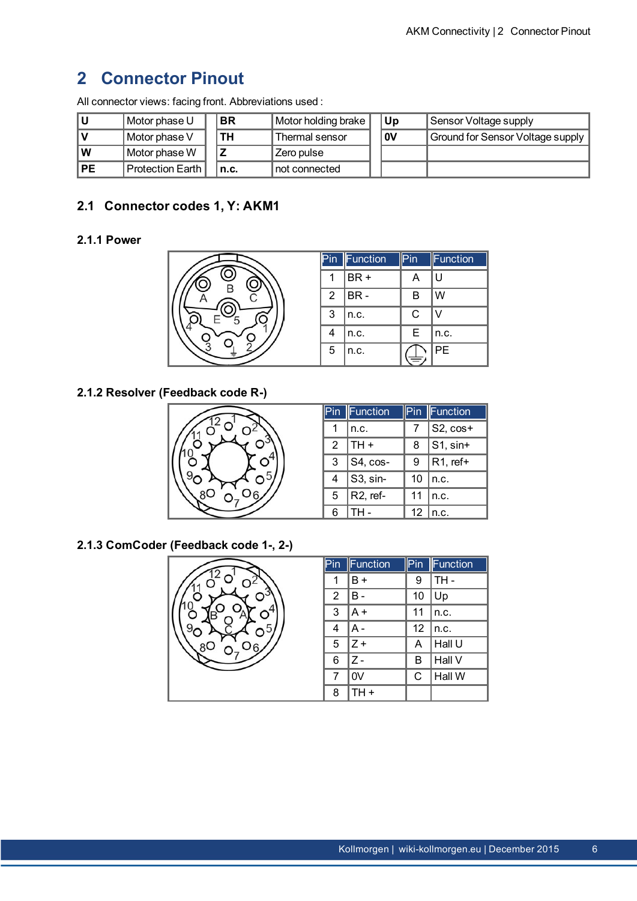# **2 Connector Pinout**

| All connector views: facing front. Abbreviations used: |
|--------------------------------------------------------|
|--------------------------------------------------------|

|           | Motor phase U    | <b>BR</b> | Motor holding brake | Up | Sensor Voltage supply            |
|-----------|------------------|-----------|---------------------|----|----------------------------------|
|           | Motor phase V    | TН        | Thermal sensor      | 0V | Ground for Sensor Voltage supply |
| ۱W        | Motor phase W    |           | Zero pulse          |    |                                  |
| <b>PE</b> | Protection Earth | n.c.      | not connected       |    |                                  |

# **2.1 Connector codes 1, Y: AKM1**

#### **2.1.1 Power**

| $\overline{\mathsf{Pin}}$ | Function | Pin | Function  |
|---------------------------|----------|-----|-----------|
|                           | BR+      | А   | U         |
| 2                         | BR-      | В   | W         |
| 3                         | n.c.     | C   | V         |
|                           | n.c.     | Е   | n.c.      |
| 5                         | n.c.     | ≐   | <b>PE</b> |

#### **2.1.2 Resolver (Feedback code R-)**



| $P\overline{in}$ | Function              |    | <b>Function</b> |
|------------------|-----------------------|----|-----------------|
|                  | n.c.                  |    | $S2$ , $cos+$   |
| 2                | $TH +$                | 8  | $S1$ , sin+     |
| 3                | S4, cos-              | 9  | $R1$ , ref+     |
| 4                | S3, sin-              | 10 | n.c.            |
| 5                | R <sub>2</sub> , ref- | 11 | n.c.            |
| ี่ค              | TH -                  | 12 | n.c.            |

# **2.1.3 ComCoder (Feedback code 1-, 2-)**



| Pin | <b>Function</b> | $\mathsf{Pin}$ | Function |
|-----|-----------------|----------------|----------|
| 1   | $B +$           | 9              | TH-      |
| 2   | в-              | 10             | Up       |
| 3   | $A +$           | 11             | n.c.     |
| 4   | А -             | 12             | n.c.     |
| 5   | $7+$            | А              | Hall U   |
| 6   | $Z -$           | в              | Hall V   |
| 7   | 0V              | C              | Hall W   |
| 8   | TH+             |                |          |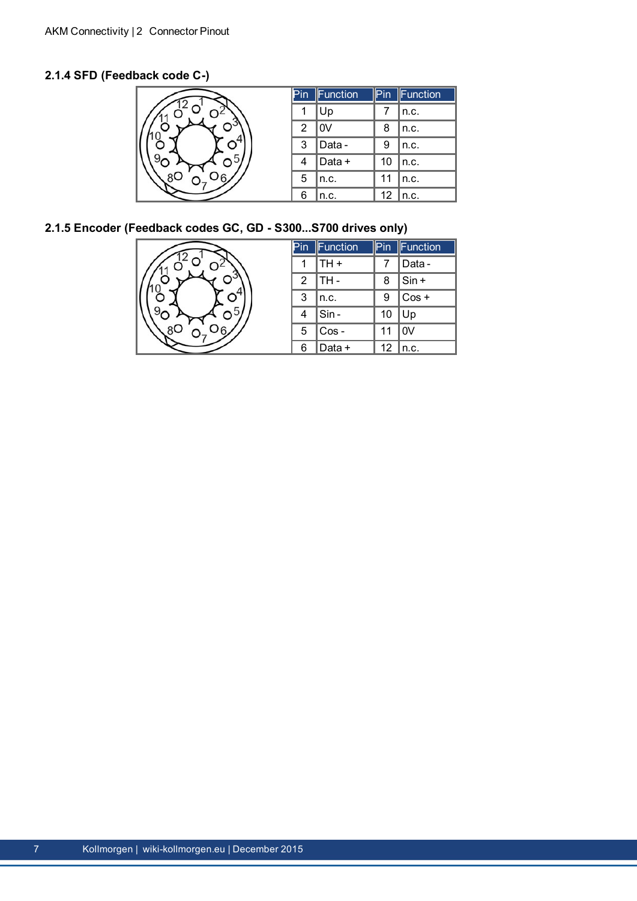#### **2.1.4 SFD (Feedback code C-)**

| Pin | <b>Function</b> | Pin | Function |
|-----|-----------------|-----|----------|
|     | Up              |     | n.c.     |
| 2   | 0V              | 8   | n.c.     |
| 3   | Data -          | 9   | n.c.     |
|     | Data +          | 10  | n.c.     |
| 5   | n.c.            | 11  | n.c.     |
| 6   | n.c.            | 12  | n.c.     |

#### **2.1.5 Encoder (Feedback codes GC, GD - S300...S700 drives only)**

|                | Pin | Function | Pin | Function |
|----------------|-----|----------|-----|----------|
|                |     | $TH +$   |     | Data -   |
|                | 2   | TH -     | 8   | $Sin +$  |
| О              | 3   | n.c.     | 9   | $Cos +$  |
| 9 <sub>t</sub> | 4   | Sin-     | 10  | Up       |
|                | 5   | Cos-     | 11  | 0V       |
|                | 6   | Data +   | 12  | n.c.     |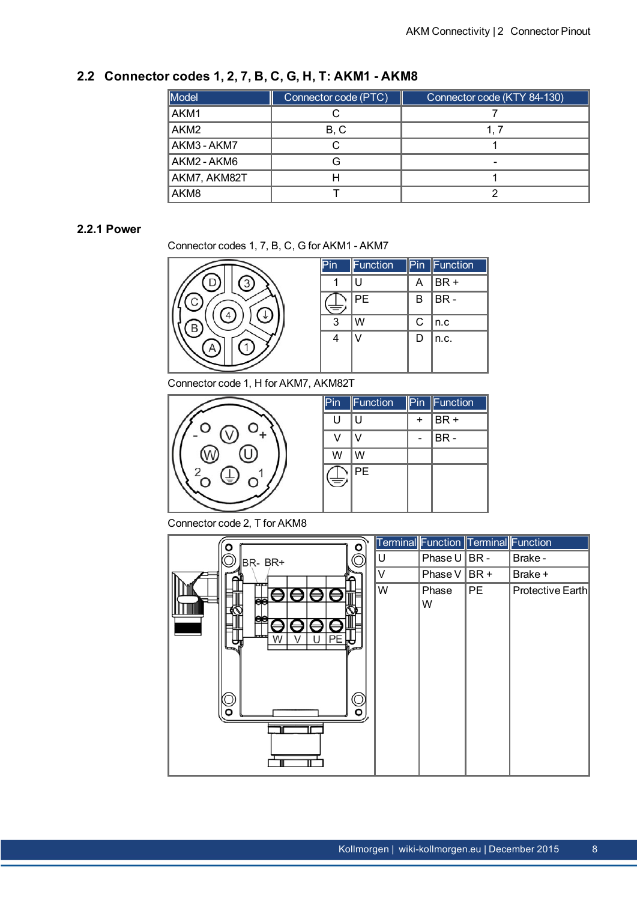#### **2.2 Connector codes 1, 2, 7, B, C, G, H, T: AKM1 - AKM8**

| <b>Model</b> | Connector code (PTC) | Connector code (KTY 84-130) |
|--------------|----------------------|-----------------------------|
| AKM1         |                      |                             |
| AKM2         | B.C                  |                             |
| AKM3 - AKM7  |                      |                             |
| AKM2 - AKM6  | ÷                    |                             |
| AKM7, AKM82T |                      |                             |
| AKM8         |                      |                             |

#### **2.2.1 Power**

#### Connector codes 1, 7, B, C, G for AKM1 - AKM7



| in | <b>Function</b> | Pin. | Function |
|----|-----------------|------|----------|
|    | U               | А    | BR+      |
|    | PE              | B    | BR-      |
| 3  | W               | С    | n.c      |
| 4  |                 | D    | n.c.     |

Connector code 1, H for AKM7, AKM82T



|   | Function  | $Pin^-$ | Function |
|---|-----------|---------|----------|
| U | ιı        |         | BR+      |
|   |           |         | BR-      |
| W | W         |         |          |
| 全 | <b>PE</b> |         |          |

Connector code 2, T for AKM8

| Ο                                       |        | Terminal Function Terminal Function |     |                  |
|-----------------------------------------|--------|-------------------------------------|-----|------------------|
| BR-BR+                                  | U      | Phase U                             | BR- | Brake -          |
|                                         | $\vee$ | Phase V                             | BR+ | Brake +          |
| هه<br>ec<br>PE<br>W<br>U<br>←<br>ၘ<br>o | W      | Phase<br>W                          | PE  | Protective Earth |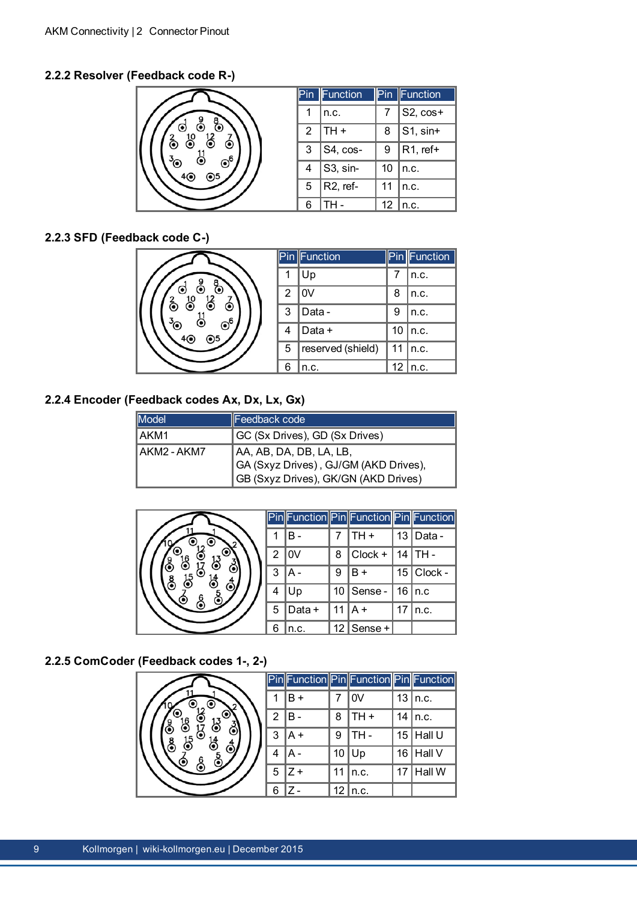#### **2.2.2 Resolver (Feedback code R-)**

|                                                         | Pin | Function              |    | <b>Pin Function</b>   |
|---------------------------------------------------------|-----|-----------------------|----|-----------------------|
| 10<br>$\odot^6$<br>$\left( \bullet \right)$<br>′െ<br>බ5 |     | n.c.                  |    | S2, cos+              |
|                                                         | 2   | $TH +$                | 8  | $S1$ , sin+           |
|                                                         | 3   | S4, cos-              | 9  | R <sub>1</sub> , ref+ |
|                                                         |     | S3, sin-              | 10 | n.c.                  |
|                                                         | 5   | R <sub>2</sub> , ref- | 11 | n.c.                  |
|                                                         | 6   | TH -                  | 12 | n.c.                  |

#### **2.2.3 SFD (Feedback code C-)**

|                                                                                        |   | <b>Pin</b> Function |    | Pin Function |
|----------------------------------------------------------------------------------------|---|---------------------|----|--------------|
| စီ<br>$\odot$<br>$\bf o$<br>10<br>$\left( \bullet \right)$<br>O<br>$\odot^6$<br><br>⊙5 |   | Up                  |    | n.c.         |
|                                                                                        | 2 | 0V                  | 8  | n.c.         |
|                                                                                        | 3 | Data -              | 9  | n.c.         |
|                                                                                        | 4 | Data +              | 10 | n.c.         |
|                                                                                        | 5 | reserved (shield)   | 11 | n.c.         |
|                                                                                        | 6 | n.c.                | 12 | n.c.         |

#### **2.2.4 Encoder (Feedback codes Ax, Dx, Lx, Gx)**

| Model       | Feedback code                                                                                            |
|-------------|----------------------------------------------------------------------------------------------------------|
| I AKM1      | GC (Sx Drives), GD (Sx Drives)                                                                           |
| AKM2 - AKM7 | AA, AB, DA, DB, LA, LB,<br>GA (Sxyz Drives), GJ/GM (AKD Drives),<br>GB (Sxyz Drives), GK/GN (AKD Drives) |

|        |   |        |    | <b>Pin Function Pin Function Pin Function</b> |                 |              |
|--------|---|--------|----|-----------------------------------------------|-----------------|--------------|
|        |   | R      |    | $TH +$                                        | 13              | Data -       |
| 5      | 2 | ∣0V    | 8  | Clock +                                       | 14 <sup>1</sup> | TH-          |
| 5<br>◉ | 3 | 'A -   | 9  | $B +$                                         |                 | $15$ Clock - |
|        |   | Up     | 10 | Sense -                                       |                 | $16 \ln c$   |
|        | 5 | Data + | 11 | $A +$                                         | 17              | n.c.         |
|        | 6 | n.c.   |    | 12   Sense +                                  |                 |              |

#### **2.2.5 ComCoder (Feedback codes 1-, 2-)**

|   | Pin Function Pin Function Pin Function |    |      |    |               |
|---|----------------------------------------|----|------|----|---------------|
|   | $B +$                                  |    | 0V   | 13 | In.c.         |
| 2 | $R -$                                  | 8  | TH+  | 14 | n.c.          |
| 3 | A +                                    | 9  | TH - |    | 15   Hall U   |
|   |                                        | 10 | Up   |    | 16   Hall $V$ |
| 5 | $7+$                                   | 11 | n.c. | 17 | Hall W        |
| 6 |                                        | 12 | n.c. |    |               |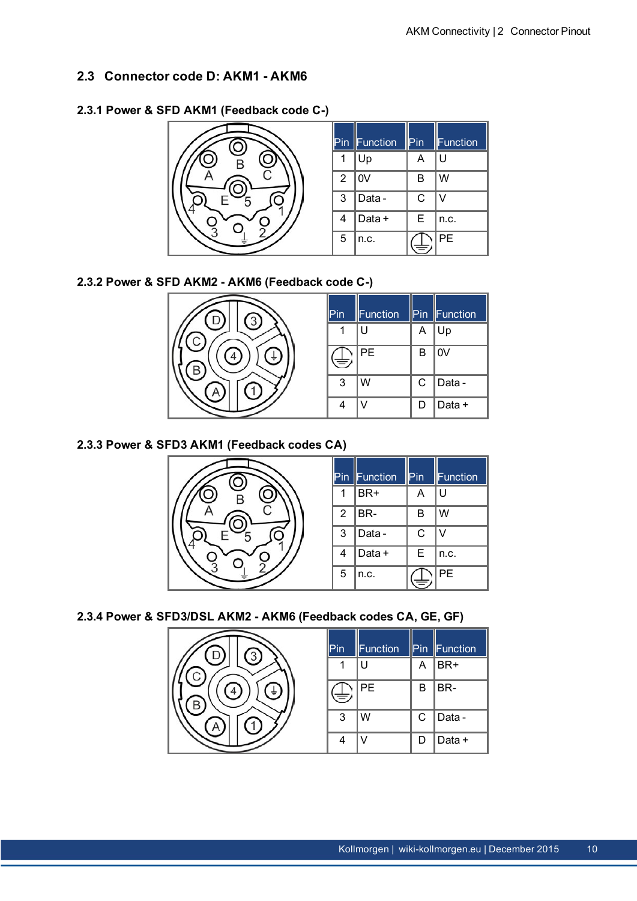#### **2.3 Connector code D: AKM1 - AKM6**

| Pin | <b>Function</b> | Pin | Function |
|-----|-----------------|-----|----------|
|     | Up              | А   | U        |
| 2   | 0V              | В   | W        |
| 3   | Data -          | С   |          |
| 4   | Data +          | E   | n.c.     |
| 5   | n.c.            |     | РF       |

#### **2.3.1 Power & SFD AKM1 (Feedback code C-)**

#### **2.3.2 Power & SFD AKM2 - AKM6 (Feedback code C-)**



| Pin | <b>Function</b> | Pin | <b>Function</b> |
|-----|-----------------|-----|-----------------|
|     | U               | Α   | Up              |
| 吉   | PЕ              | B   | 0V              |
| 3   | W               | C   | Data -          |
|     |                 | D   | Data +          |

#### **2.3.3 Power & SFD3 AKM1 (Feedback codes CA)**



| Pin | <b>Function</b> | $\mathsf{Pin}$ | Function  |
|-----|-----------------|----------------|-----------|
|     | BR+             | А              | U         |
| 2   | BR-             | B              | W         |
| 3   | Data -          | С              |           |
| 4   | Data +          | E              | n.c.      |
| 5   | n.c.            |                | <b>PE</b> |

#### **2.3.4 Power & SFD3/DSL AKM2 - AKM6 (Feedback codes CA, GE, GF)**



| Pin | Function | Pin | Function |
|-----|----------|-----|----------|
|     | U        | A   | BR+      |
| 专   | PЕ       | B   | BR-      |
| 3   | W        | C   | Data -   |
| 4   |          | D   | Data +   |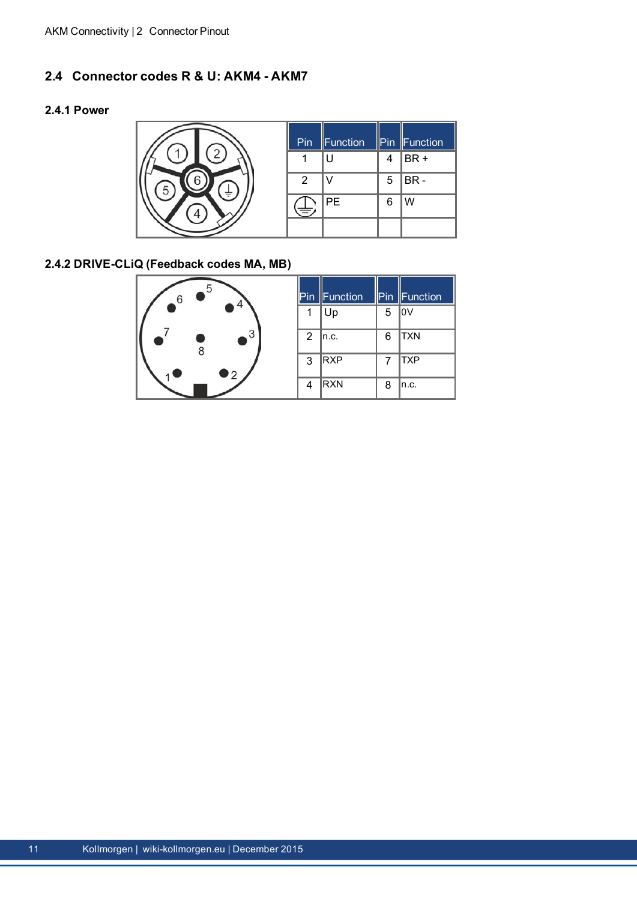#### **2.4 Connector codes R & U: AKM4 - AKM7**

#### **2.4.1 Power**



### **2.4.2 DRIVE-CLiQ (Feedback codes MA, MB)**



| Pin | <b>Function</b> | Pin | <b>Function</b> |
|-----|-----------------|-----|-----------------|
|     | Up              | 5   | 0V              |
| 2   | n.c.            | 6   | <b>TXN</b>      |
| 3   | <b>RXP</b>      | 7   | TXP             |
| 4   | <b>RXN</b>      | 8   | n.c.            |